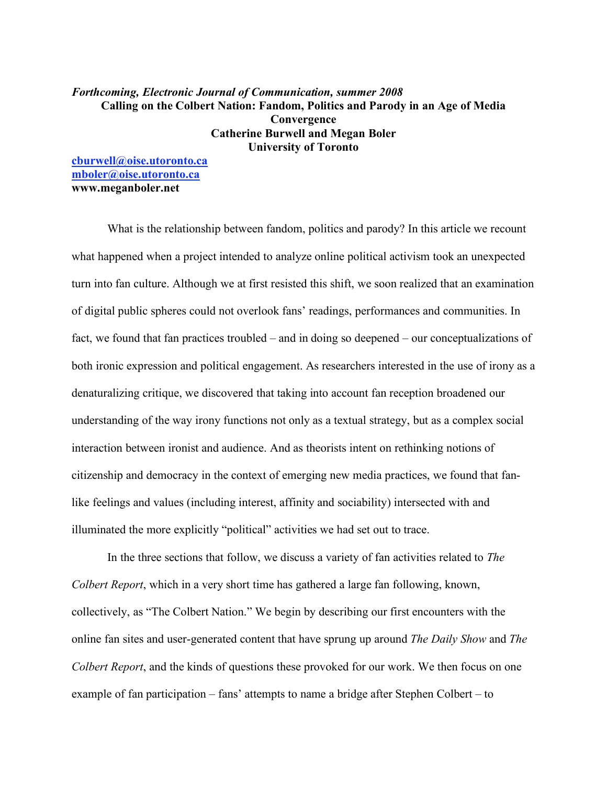# *Forthcoming, Electronic Journal of Communication, summer 2008* **Calling on the Colbert Nation: Fandom, Politics and Parody in an Age of Media Convergence Catherine Burwell and Megan Boler University of Toronto**

**cburwell@oise.utoronto.ca mboler@oise.utoronto.ca www.meganboler.net**

What is the relationship between fandom, politics and parody? In this article we recount what happened when a project intended to analyze online political activism took an unexpected turn into fan culture. Although we at first resisted this shift, we soon realized that an examination of digital public spheres could not overlook fans' readings, performances and communities. In fact, we found that fan practices troubled – and in doing so deepened – our conceptualizations of both ironic expression and political engagement. As researchers interested in the use of irony as a denaturalizing critique, we discovered that taking into account fan reception broadened our understanding of the way irony functions not only as a textual strategy, but as a complex social interaction between ironist and audience. And as theorists intent on rethinking notions of citizenship and democracy in the context of emerging new media practices, we found that fanlike feelings and values (including interest, affinity and sociability) intersected with and illuminated the more explicitly "political" activities we had set out to trace.

In the three sections that follow, we discuss a variety of fan activities related to *The Colbert Report*, which in a very short time has gathered a large fan following, known, collectively, as "The Colbert Nation." We begin by describing our first encounters with the online fan sites and user-generated content that have sprung up around *The Daily Show* and *The Colbert Report*, and the kinds of questions these provoked for our work. We then focus on one example of fan participation – fans' attempts to name a bridge after Stephen Colbert – to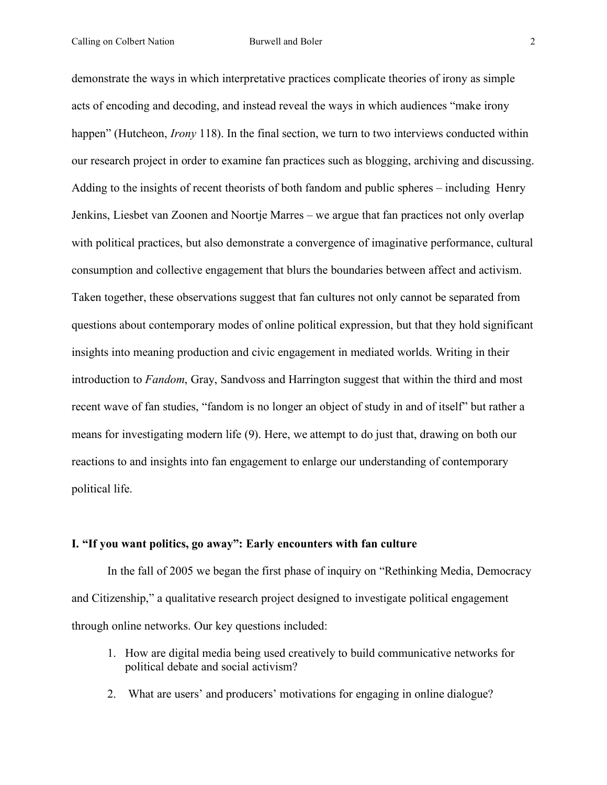demonstrate the ways in which interpretative practices complicate theories of irony as simple acts of encoding and decoding, and instead reveal the ways in which audiences "make irony happen" (Hutcheon, *Irony* 118). In the final section, we turn to two interviews conducted within our research project in order to examine fan practices such as blogging, archiving and discussing. Adding to the insights of recent theorists of both fandom and public spheres – including Henry Jenkins, Liesbet van Zoonen and Noortje Marres – we argue that fan practices not only overlap with political practices, but also demonstrate a convergence of imaginative performance, cultural consumption and collective engagement that blurs the boundaries between affect and activism. Taken together, these observations suggest that fan cultures not only cannot be separated from questions about contemporary modes of online political expression, but that they hold significant insights into meaning production and civic engagement in mediated worlds. Writing in their introduction to *Fandom*, Gray, Sandvoss and Harrington suggest that within the third and most recent wave of fan studies, "fandom is no longer an object of study in and of itself" but rather a means for investigating modern life (9). Here, we attempt to do just that, drawing on both our reactions to and insights into fan engagement to enlarge our understanding of contemporary political life.

## **I. "If you want politics, go away": Early encounters with fan culture**

In the fall of 2005 we began the first phase of inquiry on "Rethinking Media, Democracy and Citizenship," a qualitative research project designed to investigate political engagement through online networks. Our key questions included:

- 1. How are digital media being used creatively to build communicative networks for political debate and social activism?
- 2. What are users' and producers' motivations for engaging in online dialogue?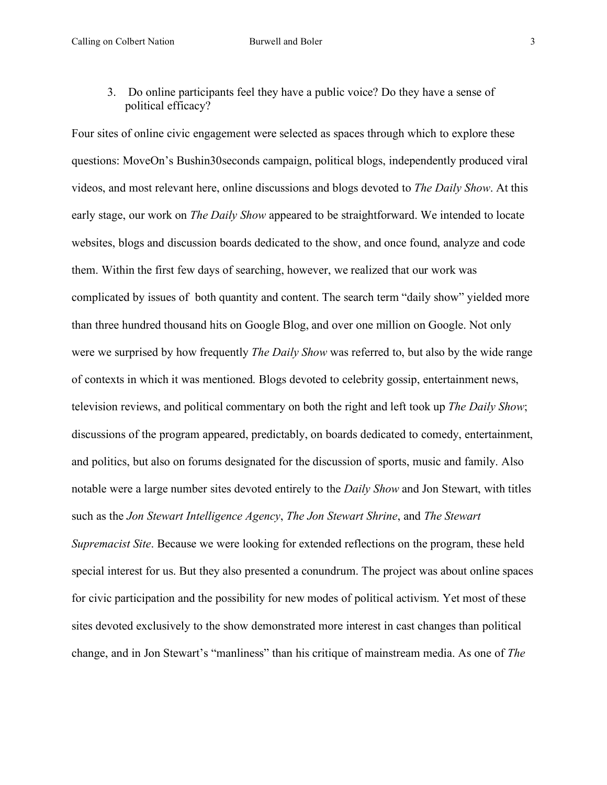- 
- 3. Do online participants feel they have a public voice? Do they have a sense of political efficacy?

Four sites of online civic engagement were selected as spaces through which to explore these questions: MoveOn's Bushin30seconds campaign, political blogs, independently produced viral videos, and most relevant here, online discussions and blogs devoted to *The Daily Show*. At this early stage, our work on *The Daily Show* appeared to be straightforward. We intended to locate websites, blogs and discussion boards dedicated to the show, and once found, analyze and code them. Within the first few days of searching, however, we realized that our work was complicated by issues of both quantity and content. The search term "daily show" yielded more than three hundred thousand hits on Google Blog, and over one million on Google. Not only were we surprised by how frequently *The Daily Show* was referred to, but also by the wide range of contexts in which it was mentioned. Blogs devoted to celebrity gossip, entertainment news, television reviews, and political commentary on both the right and left took up *The Daily Show*; discussions of the program appeared, predictably, on boards dedicated to comedy, entertainment, and politics, but also on forums designated for the discussion of sports, music and family. Also notable were a large number sites devoted entirely to the *Daily Show* and Jon Stewart, with titles such as the *Jon Stewart Intelligence Agency*, *The Jon Stewart Shrine*, and *The Stewart Supremacist Site*. Because we were looking for extended reflections on the program, these held special interest for us. But they also presented a conundrum. The project was about online spaces for civic participation and the possibility for new modes of political activism. Yet most of these sites devoted exclusively to the show demonstrated more interest in cast changes than political change, and in Jon Stewart's "manliness" than his critique of mainstream media. As one of *The*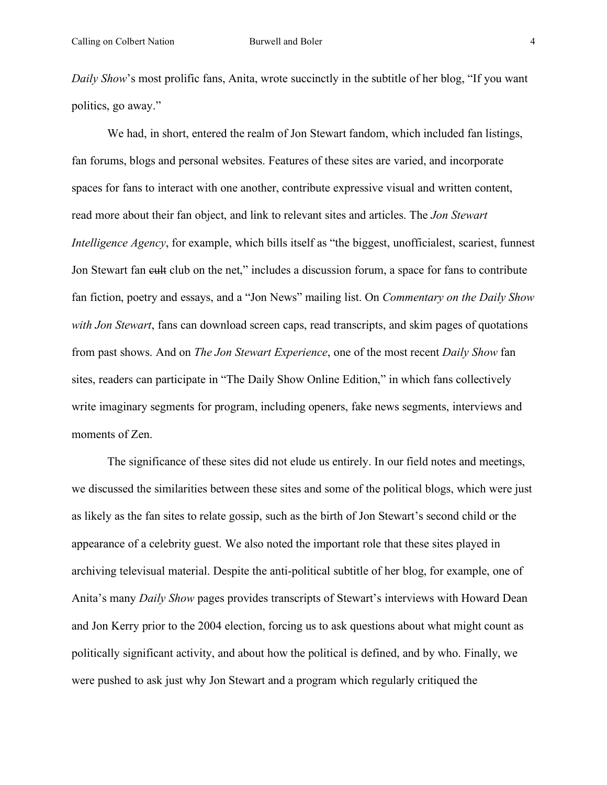*Daily Show*'s most prolific fans, Anita, wrote succinctly in the subtitle of her blog, "If you want politics, go away."

We had, in short, entered the realm of Jon Stewart fandom, which included fan listings, fan forums, blogs and personal websites. Features of these sites are varied, and incorporate spaces for fans to interact with one another, contribute expressive visual and written content, read more about their fan object, and link to relevant sites and articles. The *Jon Stewart Intelligence Agency*, for example, which bills itself as "the biggest, unofficialest, scariest, funnest Jon Stewart fan eult club on the net," includes a discussion forum, a space for fans to contribute fan fiction, poetry and essays, and a "Jon News" mailing list. On *Commentary on the Daily Show with Jon Stewart*, fans can download screen caps, read transcripts, and skim pages of quotations from past shows. And on *The Jon Stewart Experience*, one of the most recent *Daily Show* fan sites, readers can participate in "The Daily Show Online Edition," in which fans collectively write imaginary segments for program, including openers, fake news segments, interviews and moments of Zen.

The significance of these sites did not elude us entirely. In our field notes and meetings, we discussed the similarities between these sites and some of the political blogs, which were just as likely as the fan sites to relate gossip, such as the birth of Jon Stewart's second child or the appearance of a celebrity guest. We also noted the important role that these sites played in archiving televisual material. Despite the anti-political subtitle of her blog, for example, one of Anita's many *Daily Show* pages provides transcripts of Stewart's interviews with Howard Dean and Jon Kerry prior to the 2004 election, forcing us to ask questions about what might count as politically significant activity, and about how the political is defined, and by who. Finally, we were pushed to ask just why Jon Stewart and a program which regularly critiqued the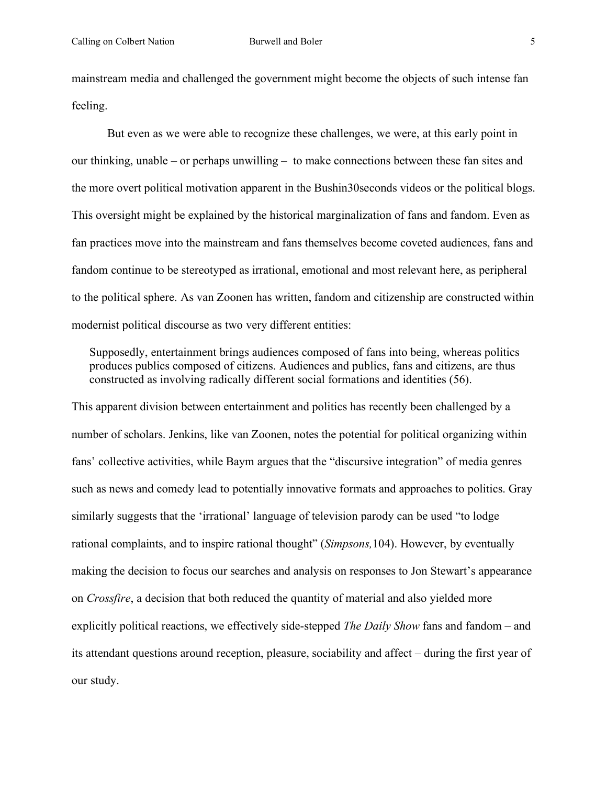mainstream media and challenged the government might become the objects of such intense fan feeling.

But even as we were able to recognize these challenges, we were, at this early point in our thinking, unable – or perhaps unwilling – to make connections between these fan sites and the more overt political motivation apparent in the Bushin30seconds videos or the political blogs. This oversight might be explained by the historical marginalization of fans and fandom. Even as fan practices move into the mainstream and fans themselves become coveted audiences, fans and fandom continue to be stereotyped as irrational, emotional and most relevant here, as peripheral to the political sphere. As van Zoonen has written, fandom and citizenship are constructed within modernist political discourse as two very different entities:

Supposedly, entertainment brings audiences composed of fans into being, whereas politics produces publics composed of citizens. Audiences and publics, fans and citizens, are thus constructed as involving radically different social formations and identities (56).

This apparent division between entertainment and politics has recently been challenged by a number of scholars. Jenkins, like van Zoonen, notes the potential for political organizing within fans' collective activities, while Baym argues that the "discursive integration" of media genres such as news and comedy lead to potentially innovative formats and approaches to politics. Gray similarly suggests that the 'irrational' language of television parody can be used "to lodge rational complaints, and to inspire rational thought" (*Simpsons,*104). However, by eventually making the decision to focus our searches and analysis on responses to Jon Stewart's appearance on *Crossfire*, a decision that both reduced the quantity of material and also yielded more explicitly political reactions, we effectively side-stepped *The Daily Show* fans and fandom – and its attendant questions around reception, pleasure, sociability and affect – during the first year of our study.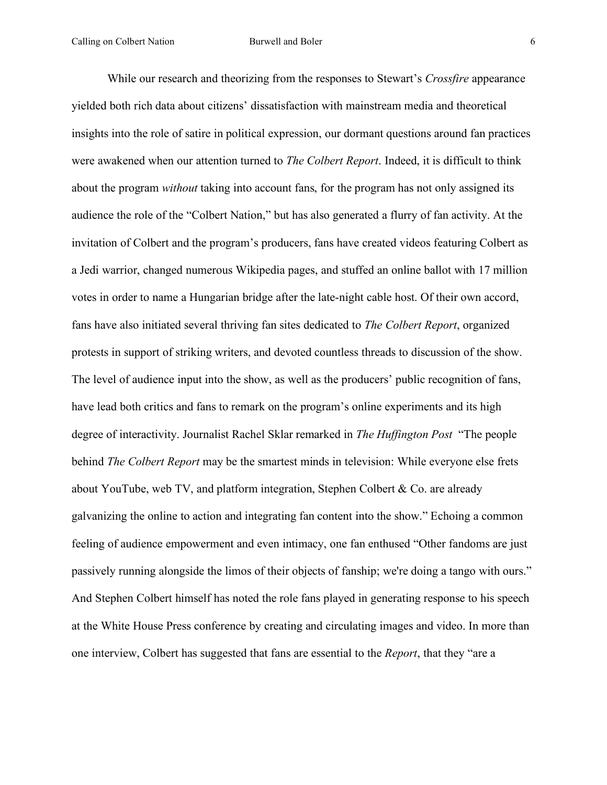While our research and theorizing from the responses to Stewart's *Crossfire* appearance yielded both rich data about citizens' dissatisfaction with mainstream media and theoretical insights into the role of satire in political expression, our dormant questions around fan practices were awakened when our attention turned to *The Colbert Report*. Indeed, it is difficult to think about the program *without* taking into account fans, for the program has not only assigned its audience the role of the "Colbert Nation," but has also generated a flurry of fan activity. At the invitation of Colbert and the program's producers, fans have created videos featuring Colbert as a Jedi warrior, changed numerous Wikipedia pages, and stuffed an online ballot with 17 million votes in order to name a Hungarian bridge after the late-night cable host. Of their own accord, fans have also initiated several thriving fan sites dedicated to *The Colbert Report*, organized protests in support of striking writers, and devoted countless threads to discussion of the show. The level of audience input into the show, as well as the producers' public recognition of fans, have lead both critics and fans to remark on the program's online experiments and its high degree of interactivity. Journalist Rachel Sklar remarked in *The Huffington Post* "The people behind *The Colbert Report* may be the smartest minds in television: While everyone else frets about YouTube, web TV, and platform integration, Stephen Colbert & Co. are already galvanizing the online to action and integrating fan content into the show." Echoing a common feeling of audience empowerment and even intimacy, one fan enthused "Other fandoms are just passively running alongside the limos of their objects of fanship; we're doing a tango with ours." And Stephen Colbert himself has noted the role fans played in generating response to his speech at the White House Press conference by creating and circulating images and video. In more than one interview, Colbert has suggested that fans are essential to the *Report*, that they "are a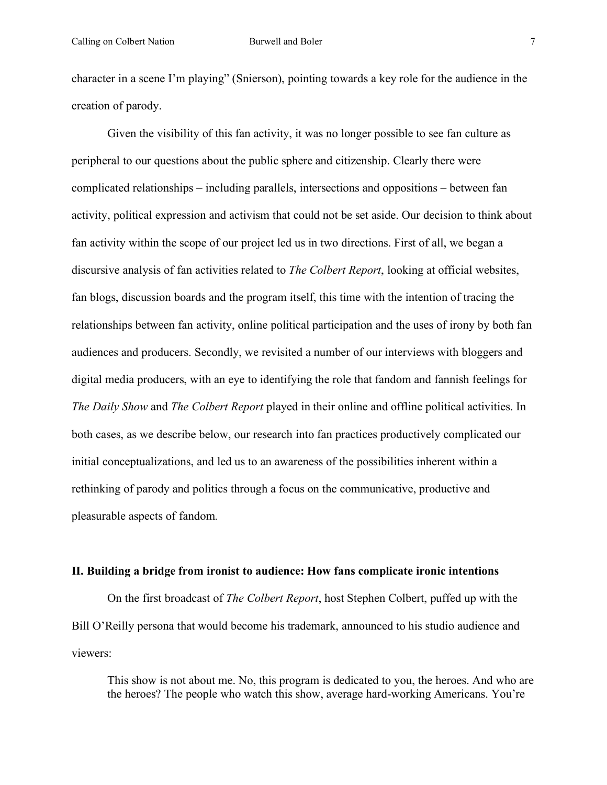character in a scene I'm playing" (Snierson), pointing towards a key role for the audience in the creation of parody.

Given the visibility of this fan activity, it was no longer possible to see fan culture as peripheral to our questions about the public sphere and citizenship. Clearly there were complicated relationships – including parallels, intersections and oppositions – between fan activity, political expression and activism that could not be set aside. Our decision to think about fan activity within the scope of our project led us in two directions. First of all, we began a discursive analysis of fan activities related to *The Colbert Report*, looking at official websites, fan blogs, discussion boards and the program itself, this time with the intention of tracing the relationships between fan activity, online political participation and the uses of irony by both fan audiences and producers. Secondly, we revisited a number of our interviews with bloggers and digital media producers, with an eye to identifying the role that fandom and fannish feelings for *The Daily Show* and *The Colbert Report* played in their online and offline political activities. In both cases, as we describe below, our research into fan practices productively complicated our initial conceptualizations, and led us to an awareness of the possibilities inherent within a rethinking of parody and politics through a focus on the communicative, productive and pleasurable aspects of fandom*.*

### **II. Building a bridge from ironist to audience: How fans complicate ironic intentions**

On the first broadcast of *The Colbert Report*, host Stephen Colbert, puffed up with the Bill O'Reilly persona that would become his trademark, announced to his studio audience and viewers:

This show is not about me. No, this program is dedicated to you, the heroes. And who are the heroes? The people who watch this show, average hard-working Americans. You're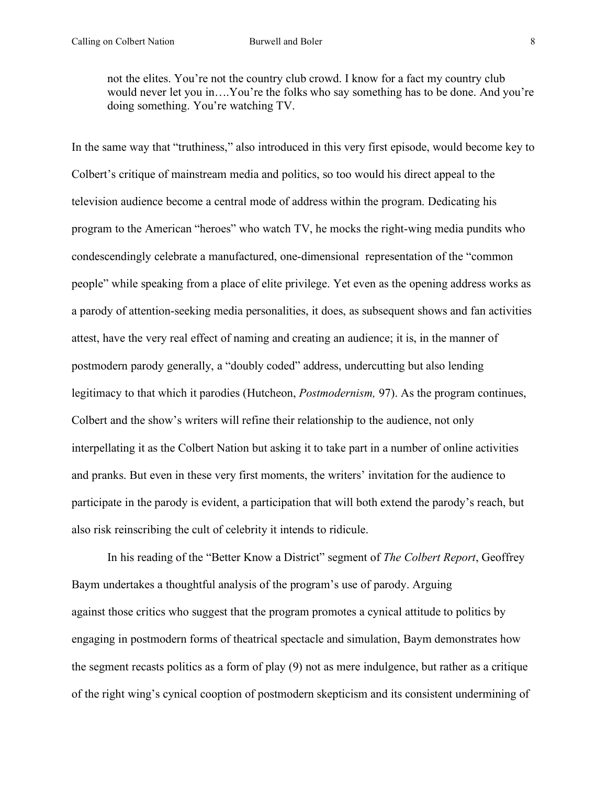not the elites. You're not the country club crowd. I know for a fact my country club would never let you in….You're the folks who say something has to be done. And you're doing something. You're watching TV.

In the same way that "truthiness," also introduced in this very first episode, would become key to Colbert's critique of mainstream media and politics, so too would his direct appeal to the television audience become a central mode of address within the program. Dedicating his program to the American "heroes" who watch TV, he mocks the right-wing media pundits who condescendingly celebrate a manufactured, one-dimensional representation of the "common people" while speaking from a place of elite privilege. Yet even as the opening address works as a parody of attention-seeking media personalities, it does, as subsequent shows and fan activities attest, have the very real effect of naming and creating an audience; it is, in the manner of postmodern parody generally, a "doubly coded" address, undercutting but also lending legitimacy to that which it parodies (Hutcheon, *Postmodernism,* 97). As the program continues, Colbert and the show's writers will refine their relationship to the audience, not only interpellating it as the Colbert Nation but asking it to take part in a number of online activities and pranks. But even in these very first moments, the writers' invitation for the audience to participate in the parody is evident, a participation that will both extend the parody's reach, but also risk reinscribing the cult of celebrity it intends to ridicule.

In his reading of the "Better Know a District" segment of *The Colbert Report*, Geoffrey Baym undertakes a thoughtful analysis of the program's use of parody. Arguing against those critics who suggest that the program promotes a cynical attitude to politics by engaging in postmodern forms of theatrical spectacle and simulation, Baym demonstrates how the segment recasts politics as a form of play (9) not as mere indulgence, but rather as a critique of the right wing's cynical cooption of postmodern skepticism and its consistent undermining of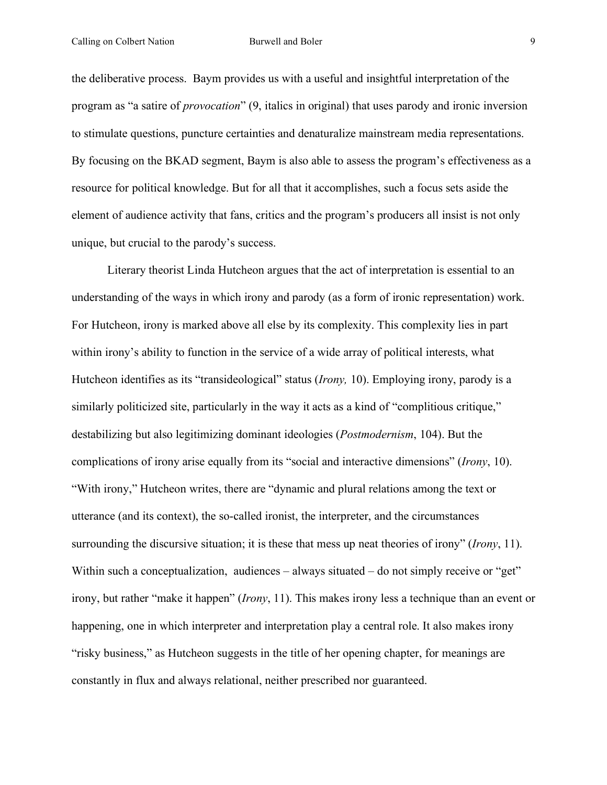the deliberative process. Baym provides us with a useful and insightful interpretation of the program as "a satire of *provocation*" (9, italics in original) that uses parody and ironic inversion to stimulate questions, puncture certainties and denaturalize mainstream media representations. By focusing on the BKAD segment, Baym is also able to assess the program's effectiveness as a resource for political knowledge. But for all that it accomplishes, such a focus sets aside the element of audience activity that fans, critics and the program's producers all insist is not only unique, but crucial to the parody's success.

Literary theorist Linda Hutcheon argues that the act of interpretation is essential to an understanding of the ways in which irony and parody (as a form of ironic representation) work. For Hutcheon, irony is marked above all else by its complexity. This complexity lies in part within irony's ability to function in the service of a wide array of political interests, what Hutcheon identifies as its "transideological" status (*Irony,* 10). Employing irony, parody is a similarly politicized site, particularly in the way it acts as a kind of "complitious critique," destabilizing but also legitimizing dominant ideologies (*Postmodernism*, 104). But the complications of irony arise equally from its "social and interactive dimensions" (*Irony*, 10). "With irony," Hutcheon writes, there are "dynamic and plural relations among the text or utterance (and its context), the so-called ironist, the interpreter, and the circumstances surrounding the discursive situation; it is these that mess up neat theories of irony" (*Irony*, 11). Within such a conceptualization, audiences – always situated – do not simply receive or "get" irony, but rather "make it happen" (*Irony*, 11). This makes irony less a technique than an event or happening, one in which interpreter and interpretation play a central role. It also makes irony "risky business," as Hutcheon suggests in the title of her opening chapter, for meanings are constantly in flux and always relational, neither prescribed nor guaranteed.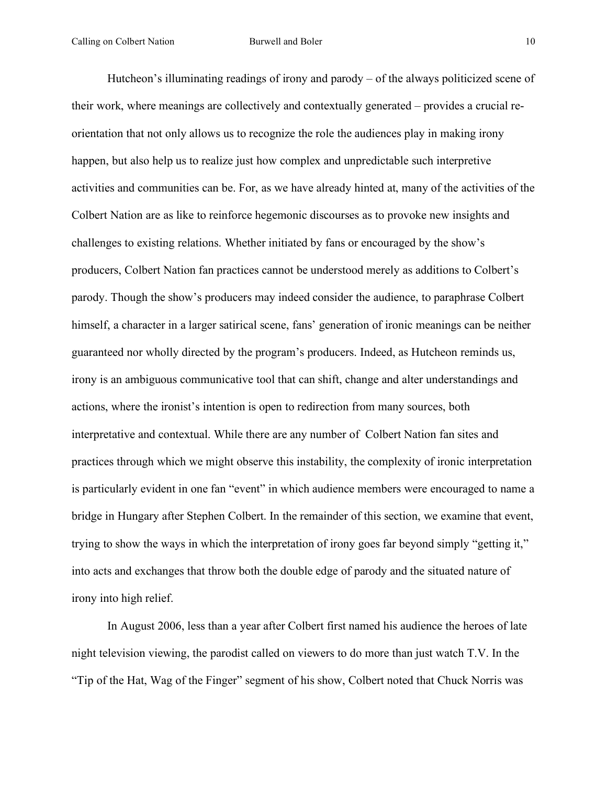Hutcheon's illuminating readings of irony and parody – of the always politicized scene of their work, where meanings are collectively and contextually generated – provides a crucial reorientation that not only allows us to recognize the role the audiences play in making irony happen, but also help us to realize just how complex and unpredictable such interpretive activities and communities can be. For, as we have already hinted at, many of the activities of the Colbert Nation are as like to reinforce hegemonic discourses as to provoke new insights and challenges to existing relations. Whether initiated by fans or encouraged by the show's producers, Colbert Nation fan practices cannot be understood merely as additions to Colbert's parody. Though the show's producers may indeed consider the audience, to paraphrase Colbert himself, a character in a larger satirical scene, fans' generation of ironic meanings can be neither guaranteed nor wholly directed by the program's producers. Indeed, as Hutcheon reminds us, irony is an ambiguous communicative tool that can shift, change and alter understandings and actions, where the ironist's intention is open to redirection from many sources, both interpretative and contextual. While there are any number of Colbert Nation fan sites and practices through which we might observe this instability, the complexity of ironic interpretation is particularly evident in one fan "event" in which audience members were encouraged to name a bridge in Hungary after Stephen Colbert. In the remainder of this section, we examine that event, trying to show the ways in which the interpretation of irony goes far beyond simply "getting it," into acts and exchanges that throw both the double edge of parody and the situated nature of irony into high relief.

In August 2006, less than a year after Colbert first named his audience the heroes of late night television viewing, the parodist called on viewers to do more than just watch T.V. In the "Tip of the Hat, Wag of the Finger" segment of his show, Colbert noted that Chuck Norris was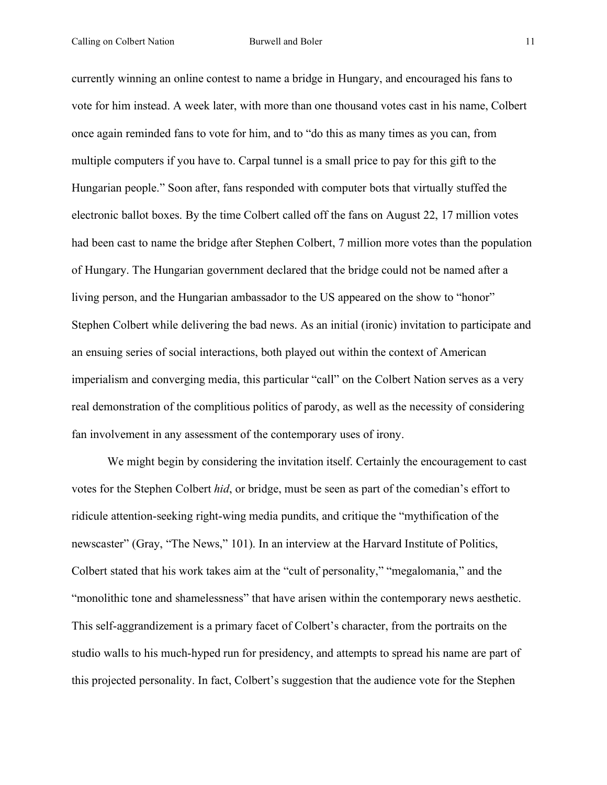Calling on Colbert Nation **Burwell** and Boler 11 **Collins** 11

currently winning an online contest to name a bridge in Hungary, and encouraged his fans to vote for him instead. A week later, with more than one thousand votes cast in his name, Colbert once again reminded fans to vote for him, and to "do this as many times as you can, from multiple computers if you have to. Carpal tunnel is a small price to pay for this gift to the Hungarian people." Soon after, fans responded with computer bots that virtually stuffed the electronic ballot boxes. By the time Colbert called off the fans on August 22, 17 million votes had been cast to name the bridge after Stephen Colbert, 7 million more votes than the population of Hungary. The Hungarian government declared that the bridge could not be named after a living person, and the Hungarian ambassador to the US appeared on the show to "honor" Stephen Colbert while delivering the bad news. As an initial (ironic) invitation to participate and an ensuing series of social interactions, both played out within the context of American imperialism and converging media, this particular "call" on the Colbert Nation serves as a very real demonstration of the complitious politics of parody, as well as the necessity of considering fan involvement in any assessment of the contemporary uses of irony.

We might begin by considering the invitation itself. Certainly the encouragement to cast votes for the Stephen Colbert *hid*, or bridge, must be seen as part of the comedian's effort to ridicule attention-seeking right-wing media pundits, and critique the "mythification of the newscaster" (Gray, "The News," 101). In an interview at the Harvard Institute of Politics, Colbert stated that his work takes aim at the "cult of personality," "megalomania," and the "monolithic tone and shamelessness" that have arisen within the contemporary news aesthetic. This self-aggrandizement is a primary facet of Colbert's character, from the portraits on the studio walls to his much-hyped run for presidency, and attempts to spread his name are part of this projected personality. In fact, Colbert's suggestion that the audience vote for the Stephen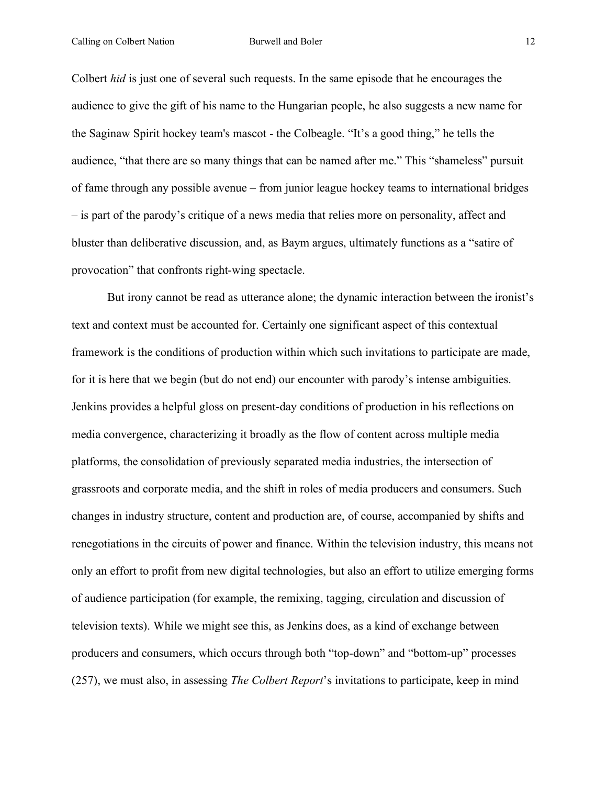Colbert *hid* is just one of several such requests. In the same episode that he encourages the audience to give the gift of his name to the Hungarian people, he also suggests a new name for the Saginaw Spirit hockey team's mascot - the Colbeagle. "It's a good thing," he tells the audience, "that there are so many things that can be named after me." This "shameless" pursuit of fame through any possible avenue – from junior league hockey teams to international bridges – is part of the parody's critique of a news media that relies more on personality, affect and bluster than deliberative discussion, and, as Baym argues, ultimately functions as a "satire of provocation" that confronts right-wing spectacle.

But irony cannot be read as utterance alone; the dynamic interaction between the ironist's text and context must be accounted for. Certainly one significant aspect of this contextual framework is the conditions of production within which such invitations to participate are made, for it is here that we begin (but do not end) our encounter with parody's intense ambiguities. Jenkins provides a helpful gloss on present-day conditions of production in his reflections on media convergence, characterizing it broadly as the flow of content across multiple media platforms, the consolidation of previously separated media industries, the intersection of grassroots and corporate media, and the shift in roles of media producers and consumers. Such changes in industry structure, content and production are, of course, accompanied by shifts and renegotiations in the circuits of power and finance. Within the television industry, this means not only an effort to profit from new digital technologies, but also an effort to utilize emerging forms of audience participation (for example, the remixing, tagging, circulation and discussion of television texts). While we might see this, as Jenkins does, as a kind of exchange between producers and consumers, which occurs through both "top-down" and "bottom-up" processes (257), we must also, in assessing *The Colbert Report*'s invitations to participate, keep in mind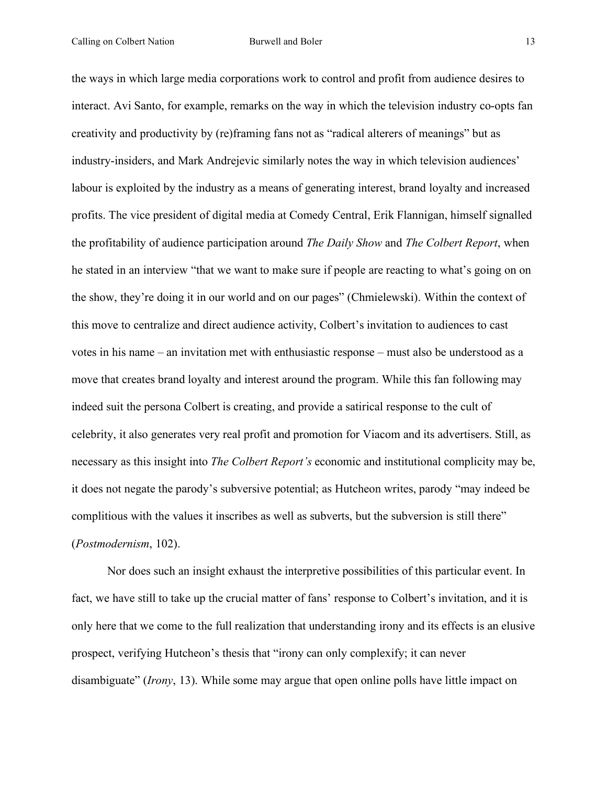the ways in which large media corporations work to control and profit from audience desires to interact. Avi Santo, for example, remarks on the way in which the television industry co-opts fan creativity and productivity by (re)framing fans not as "radical alterers of meanings" but as industry-insiders, and Mark Andrejevic similarly notes the way in which television audiences' labour is exploited by the industry as a means of generating interest, brand loyalty and increased profits. The vice president of digital media at Comedy Central, Erik Flannigan, himself signalled the profitability of audience participation around *The Daily Show* and *The Colbert Report*, when he stated in an interview "that we want to make sure if people are reacting to what's going on on the show, they're doing it in our world and on our pages" (Chmielewski). Within the context of this move to centralize and direct audience activity, Colbert's invitation to audiences to cast votes in his name – an invitation met with enthusiastic response – must also be understood as a move that creates brand loyalty and interest around the program. While this fan following may indeed suit the persona Colbert is creating, and provide a satirical response to the cult of celebrity, it also generates very real profit and promotion for Viacom and its advertisers. Still, as necessary as this insight into *The Colbert Report's* economic and institutional complicity may be, it does not negate the parody's subversive potential; as Hutcheon writes, parody "may indeed be complitious with the values it inscribes as well as subverts, but the subversion is still there" (*Postmodernism*, 102).

Nor does such an insight exhaust the interpretive possibilities of this particular event. In fact, we have still to take up the crucial matter of fans' response to Colbert's invitation, and it is only here that we come to the full realization that understanding irony and its effects is an elusive prospect, verifying Hutcheon's thesis that "irony can only complexify; it can never disambiguate" (*Irony*, 13). While some may argue that open online polls have little impact on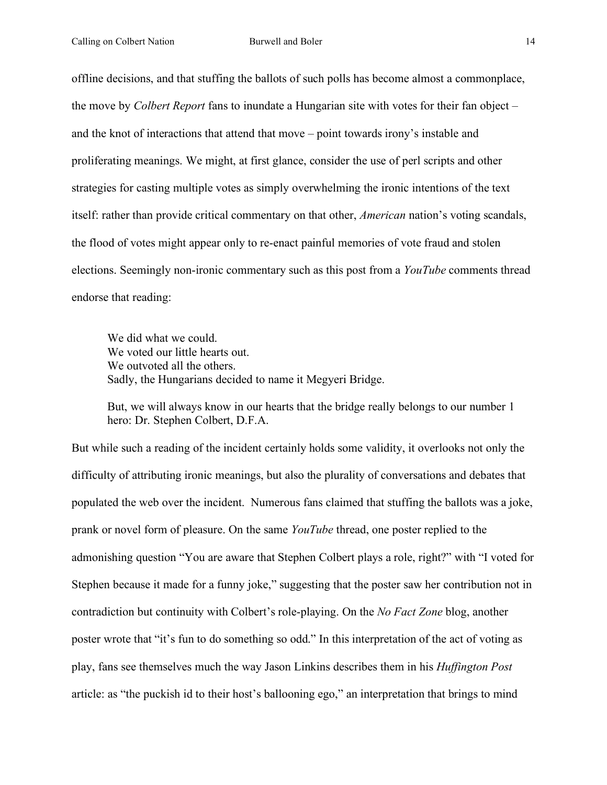offline decisions, and that stuffing the ballots of such polls has become almost a commonplace, the move by *Colbert Report* fans to inundate a Hungarian site with votes for their fan object – and the knot of interactions that attend that move – point towards irony's instable and proliferating meanings. We might, at first glance, consider the use of perl scripts and other strategies for casting multiple votes as simply overwhelming the ironic intentions of the text itself: rather than provide critical commentary on that other, *American* nation's voting scandals, the flood of votes might appear only to re-enact painful memories of vote fraud and stolen elections. Seemingly non-ironic commentary such as this post from a *YouTube* comments thread endorse that reading:

We did what we could. We voted our little hearts out. We outvoted all the others. Sadly, the Hungarians decided to name it Megyeri Bridge.

But, we will always know in our hearts that the bridge really belongs to our number 1 hero: Dr. Stephen Colbert, D.F.A.

But while such a reading of the incident certainly holds some validity, it overlooks not only the difficulty of attributing ironic meanings, but also the plurality of conversations and debates that populated the web over the incident. Numerous fans claimed that stuffing the ballots was a joke, prank or novel form of pleasure. On the same *YouTube* thread, one poster replied to the admonishing question "You are aware that Stephen Colbert plays a role, right?" with "I voted for Stephen because it made for a funny joke," suggesting that the poster saw her contribution not in contradiction but continuity with Colbert's role-playing. On the *No Fact Zone* blog, another poster wrote that "it's fun to do something so odd." In this interpretation of the act of voting as play, fans see themselves much the way Jason Linkins describes them in his *Huffington Post* article: as "the puckish id to their host's ballooning ego," an interpretation that brings to mind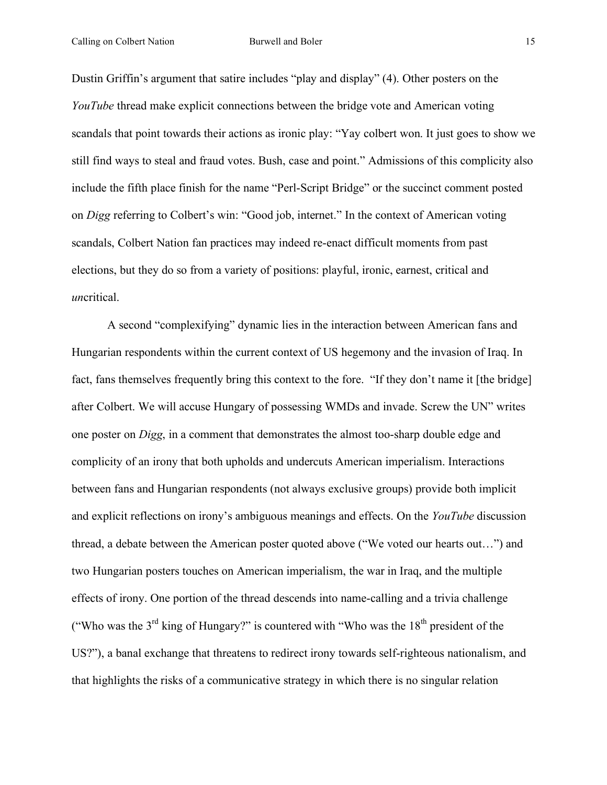Dustin Griffin's argument that satire includes "play and display" (4). Other posters on the *YouTube* thread make explicit connections between the bridge vote and American voting scandals that point towards their actions as ironic play: "Yay colbert won. It just goes to show we still find ways to steal and fraud votes. Bush, case and point." Admissions of this complicity also include the fifth place finish for the name "Perl-Script Bridge" or the succinct comment posted on *Digg* referring to Colbert's win: "Good job, internet." In the context of American voting scandals, Colbert Nation fan practices may indeed re-enact difficult moments from past elections, but they do so from a variety of positions: playful, ironic, earnest, critical and *un*critical.

A second "complexifying" dynamic lies in the interaction between American fans and Hungarian respondents within the current context of US hegemony and the invasion of Iraq. In fact, fans themselves frequently bring this context to the fore. "If they don't name it [the bridge] after Colbert. We will accuse Hungary of possessing WMDs and invade. Screw the UN" writes one poster on *Digg*, in a comment that demonstrates the almost too-sharp double edge and complicity of an irony that both upholds and undercuts American imperialism. Interactions between fans and Hungarian respondents (not always exclusive groups) provide both implicit and explicit reflections on irony's ambiguous meanings and effects. On the *YouTube* discussion thread, a debate between the American poster quoted above ("We voted our hearts out…") and two Hungarian posters touches on American imperialism, the war in Iraq, and the multiple effects of irony. One portion of the thread descends into name-calling and a trivia challenge ("Who was the  $3<sup>rd</sup>$  king of Hungary?" is countered with "Who was the  $18<sup>th</sup>$  president of the US?"), a banal exchange that threatens to redirect irony towards self-righteous nationalism, and that highlights the risks of a communicative strategy in which there is no singular relation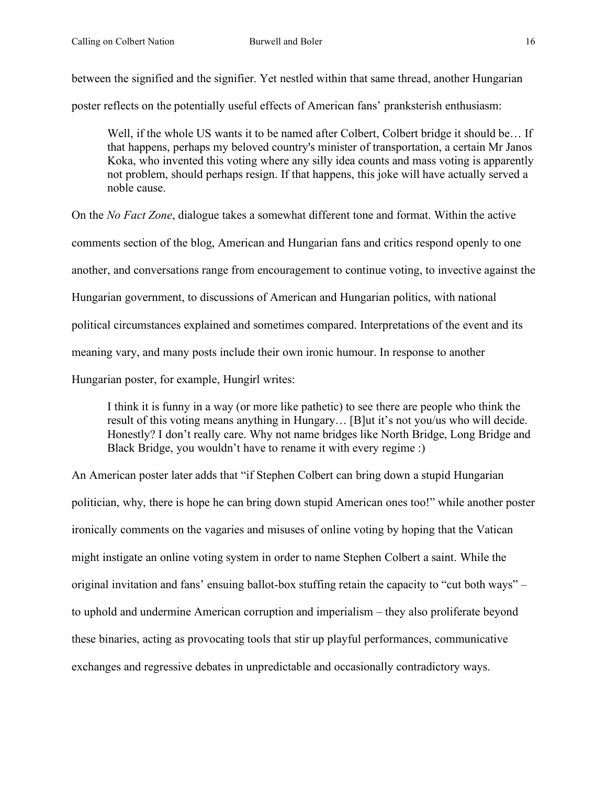between the signified and the signifier. Yet nestled within that same thread, another Hungarian

poster reflects on the potentially useful effects of American fans' pranksterish enthusiasm:

Well, if the whole US wants it to be named after Colbert, Colbert bridge it should be... If that happens, perhaps my beloved country's minister of transportation, a certain Mr Janos Koka, who invented this voting where any silly idea counts and mass voting is apparently not problem, should perhaps resign. If that happens, this joke will have actually served a noble cause.

On the *No Fact Zone*, dialogue takes a somewhat different tone and format. Within the active comments section of the blog, American and Hungarian fans and critics respond openly to one another, and conversations range from encouragement to continue voting, to invective against the Hungarian government, to discussions of American and Hungarian politics, with national political circumstances explained and sometimes compared. Interpretations of the event and its meaning vary, and many posts include their own ironic humour. In response to another Hungarian poster, for example, Hungirl writes:

I think it is funny in a way (or more like pathetic) to see there are people who think the result of this voting means anything in Hungary… [B]ut it's not you/us who will decide. Honestly? I don't really care. Why not name bridges like North Bridge, Long Bridge and Black Bridge, you wouldn't have to rename it with every regime :)

An American poster later adds that "if Stephen Colbert can bring down a stupid Hungarian politician, why, there is hope he can bring down stupid American ones too!" while another poster ironically comments on the vagaries and misuses of online voting by hoping that the Vatican might instigate an online voting system in order to name Stephen Colbert a saint. While the original invitation and fans' ensuing ballot-box stuffing retain the capacity to "cut both ways" – to uphold and undermine American corruption and imperialism – they also proliferate beyond these binaries, acting as provocating tools that stir up playful performances, communicative exchanges and regressive debates in unpredictable and occasionally contradictory ways.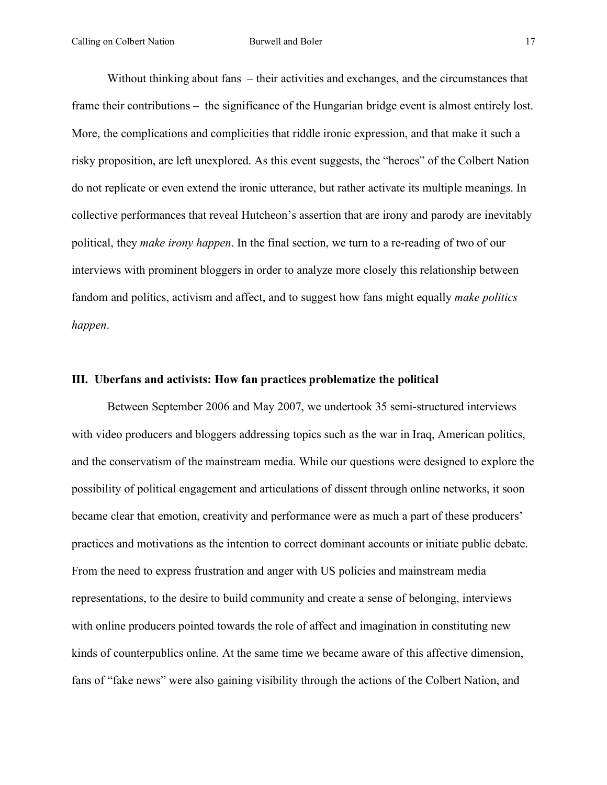Calling on Colbert Nation **Burwell** and Boler 17 and Boler 17

Without thinking about fans – their activities and exchanges, and the circumstances that frame their contributions – the significance of the Hungarian bridge event is almost entirely lost. More, the complications and complicities that riddle ironic expression, and that make it such a risky proposition, are left unexplored. As this event suggests, the "heroes" of the Colbert Nation do not replicate or even extend the ironic utterance, but rather activate its multiple meanings. In collective performances that reveal Hutcheon's assertion that are irony and parody are inevitably political, they *make irony happen*. In the final section, we turn to a re-reading of two of our interviews with prominent bloggers in order to analyze more closely this relationship between fandom and politics, activism and affect, and to suggest how fans might equally *make politics happen*.

### **III. Uberfans and activists: How fan practices problematize the political**

Between September 2006 and May 2007, we undertook 35 semi-structured interviews with video producers and bloggers addressing topics such as the war in Iraq, American politics, and the conservatism of the mainstream media. While our questions were designed to explore the possibility of political engagement and articulations of dissent through online networks, it soon became clear that emotion, creativity and performance were as much a part of these producers' practices and motivations as the intention to correct dominant accounts or initiate public debate. From the need to express frustration and anger with US policies and mainstream media representations, to the desire to build community and create a sense of belonging, interviews with online producers pointed towards the role of affect and imagination in constituting new kinds of counterpublics online. At the same time we became aware of this affective dimension, fans of "fake news" were also gaining visibility through the actions of the Colbert Nation, and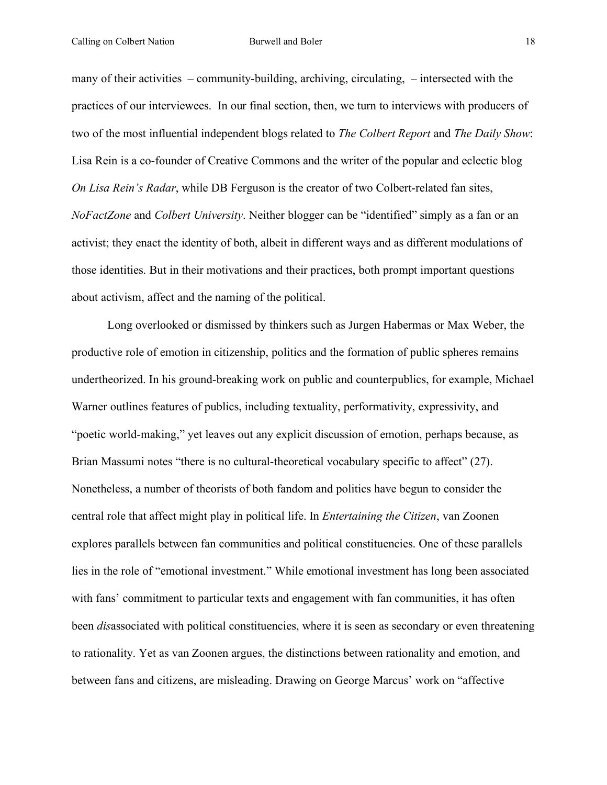many of their activities – community-building, archiving, circulating, – intersected with the practices of our interviewees. In our final section, then, we turn to interviews with producers of two of the most influential independent blogs related to *The Colbert Report* and *The Daily Show*: Lisa Rein is a co-founder of Creative Commons and the writer of the popular and eclectic blog *On Lisa Rein's Radar*, while DB Ferguson is the creator of two Colbert-related fan sites, *NoFactZone* and *Colbert University*. Neither blogger can be "identified" simply as a fan or an activist; they enact the identity of both, albeit in different ways and as different modulations of those identities. But in their motivations and their practices, both prompt important questions about activism, affect and the naming of the political.

Long overlooked or dismissed by thinkers such as Jurgen Habermas or Max Weber, the productive role of emotion in citizenship, politics and the formation of public spheres remains undertheorized. In his ground-breaking work on public and counterpublics, for example, Michael Warner outlines features of publics, including textuality, performativity, expressivity, and "poetic world-making," yet leaves out any explicit discussion of emotion, perhaps because, as Brian Massumi notes "there is no cultural-theoretical vocabulary specific to affect" (27). Nonetheless, a number of theorists of both fandom and politics have begun to consider the central role that affect might play in political life. In *Entertaining the Citizen*, van Zoonen explores parallels between fan communities and political constituencies. One of these parallels lies in the role of "emotional investment." While emotional investment has long been associated with fans' commitment to particular texts and engagement with fan communities, it has often been *dis*associated with political constituencies, where it is seen as secondary or even threatening to rationality. Yet as van Zoonen argues, the distinctions between rationality and emotion, and between fans and citizens, are misleading. Drawing on George Marcus' work on "affective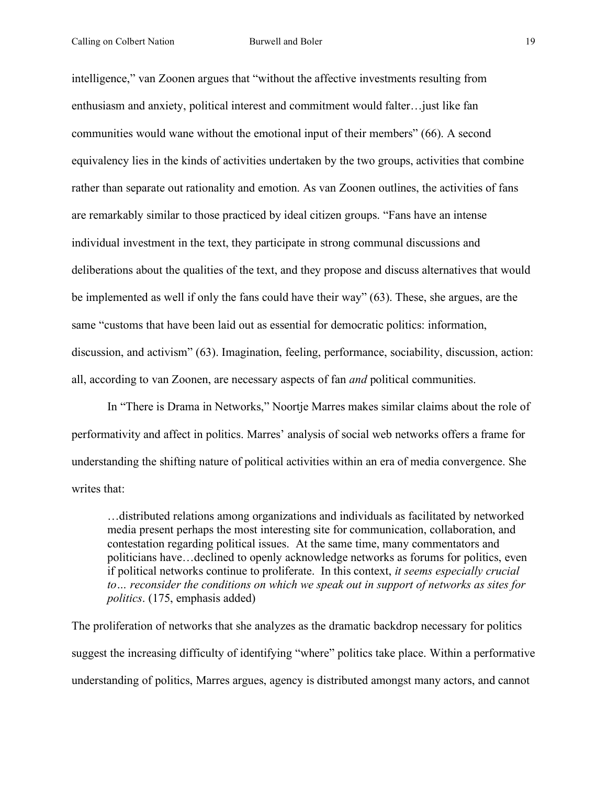intelligence," van Zoonen argues that "without the affective investments resulting from enthusiasm and anxiety, political interest and commitment would falter…just like fan communities would wane without the emotional input of their members" (66). A second equivalency lies in the kinds of activities undertaken by the two groups, activities that combine rather than separate out rationality and emotion. As van Zoonen outlines, the activities of fans are remarkably similar to those practiced by ideal citizen groups. "Fans have an intense individual investment in the text, they participate in strong communal discussions and deliberations about the qualities of the text, and they propose and discuss alternatives that would be implemented as well if only the fans could have their way" (63). These, she argues, are the same "customs that have been laid out as essential for democratic politics: information, discussion, and activism" (63). Imagination, feeling, performance, sociability, discussion, action: all, according to van Zoonen, are necessary aspects of fan *and* political communities.

In "There is Drama in Networks," Noortje Marres makes similar claims about the role of performativity and affect in politics. Marres' analysis of social web networks offers a frame for understanding the shifting nature of political activities within an era of media convergence. She writes that:

…distributed relations among organizations and individuals as facilitated by networked media present perhaps the most interesting site for communication, collaboration, and contestation regarding political issues. At the same time, many commentators and politicians have…declined to openly acknowledge networks as forums for politics, even if political networks continue to proliferate. In this context, *it seems especially crucial to… reconsider the conditions on which we speak out in support of networks as sites for politics*. (175, emphasis added)

The proliferation of networks that she analyzes as the dramatic backdrop necessary for politics suggest the increasing difficulty of identifying "where" politics take place. Within a performative understanding of politics, Marres argues, agency is distributed amongst many actors, and cannot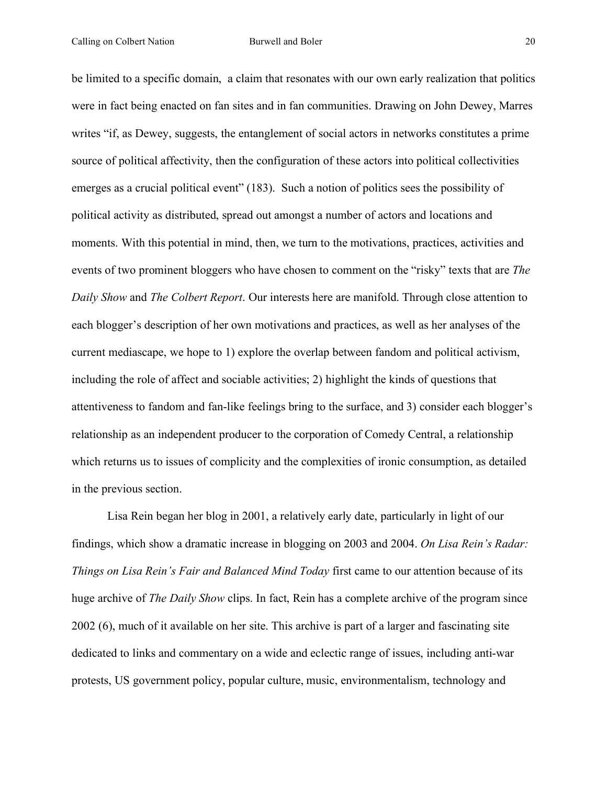be limited to a specific domain, a claim that resonates with our own early realization that politics were in fact being enacted on fan sites and in fan communities. Drawing on John Dewey, Marres writes "if, as Dewey, suggests, the entanglement of social actors in networks constitutes a prime source of political affectivity, then the configuration of these actors into political collectivities emerges as a crucial political event" (183). Such a notion of politics sees the possibility of political activity as distributed, spread out amongst a number of actors and locations and moments. With this potential in mind, then, we turn to the motivations, practices, activities and events of two prominent bloggers who have chosen to comment on the "risky" texts that are *The Daily Show* and *The Colbert Report*. Our interests here are manifold. Through close attention to each blogger's description of her own motivations and practices, as well as her analyses of the current mediascape, we hope to 1) explore the overlap between fandom and political activism, including the role of affect and sociable activities; 2) highlight the kinds of questions that attentiveness to fandom and fan-like feelings bring to the surface, and 3) consider each blogger's relationship as an independent producer to the corporation of Comedy Central, a relationship which returns us to issues of complicity and the complexities of ironic consumption, as detailed in the previous section.

Lisa Rein began her blog in 2001, a relatively early date, particularly in light of our findings, which show a dramatic increase in blogging on 2003 and 2004. *On Lisa Rein's Radar: Things on Lisa Rein's Fair and Balanced Mind Today* first came to our attention because of its huge archive of *The Daily Show* clips. In fact, Rein has a complete archive of the program since 2002 (6), much of it available on her site. This archive is part of a larger and fascinating site dedicated to links and commentary on a wide and eclectic range of issues, including anti-war protests, US government policy, popular culture, music, environmentalism, technology and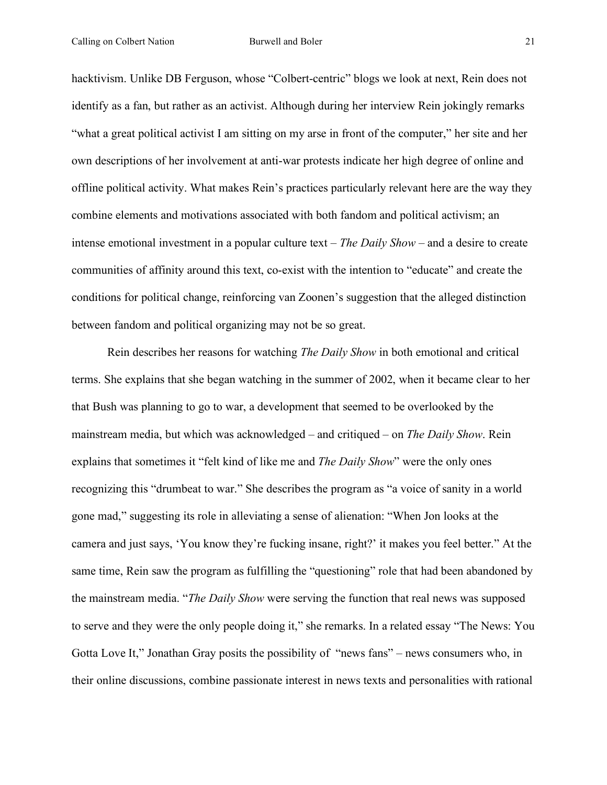Calling on Colbert Nation **Burwell** and Boler 21 **Calling on Colbert Nation** 21

hacktivism. Unlike DB Ferguson, whose "Colbert-centric" blogs we look at next, Rein does not identify as a fan, but rather as an activist. Although during her interview Rein jokingly remarks "what a great political activist I am sitting on my arse in front of the computer," her site and her own descriptions of her involvement at anti-war protests indicate her high degree of online and offline political activity. What makes Rein's practices particularly relevant here are the way they combine elements and motivations associated with both fandom and political activism; an intense emotional investment in a popular culture text – *The Daily Show* – and a desire to create communities of affinity around this text, co-exist with the intention to "educate" and create the conditions for political change, reinforcing van Zoonen's suggestion that the alleged distinction between fandom and political organizing may not be so great.

Rein describes her reasons for watching *The Daily Show* in both emotional and critical terms. She explains that she began watching in the summer of 2002, when it became clear to her that Bush was planning to go to war, a development that seemed to be overlooked by the mainstream media, but which was acknowledged – and critiqued – on *The Daily Show*. Rein explains that sometimes it "felt kind of like me and *The Daily Show*" were the only ones recognizing this "drumbeat to war." She describes the program as "a voice of sanity in a world gone mad," suggesting its role in alleviating a sense of alienation: "When Jon looks at the camera and just says, 'You know they're fucking insane, right?' it makes you feel better." At the same time, Rein saw the program as fulfilling the "questioning" role that had been abandoned by the mainstream media. "*The Daily Show* were serving the function that real news was supposed to serve and they were the only people doing it," she remarks. In a related essay "The News: You Gotta Love It," Jonathan Gray posits the possibility of "news fans" – news consumers who, in their online discussions, combine passionate interest in news texts and personalities with rational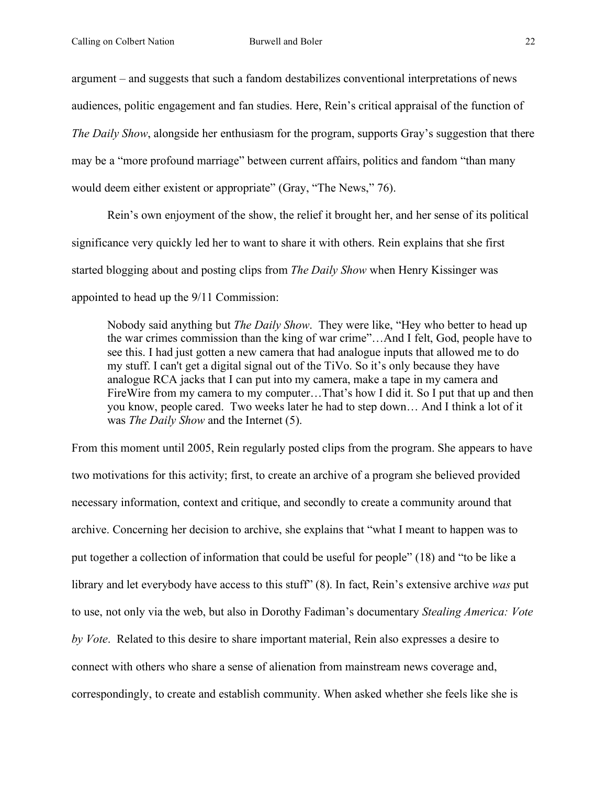argument – and suggests that such a fandom destabilizes conventional interpretations of news audiences, politic engagement and fan studies. Here, Rein's critical appraisal of the function of *The Daily Show*, alongside her enthusiasm for the program, supports Gray's suggestion that there may be a "more profound marriage" between current affairs, politics and fandom "than many would deem either existent or appropriate" (Gray, "The News," 76).

Rein's own enjoyment of the show, the relief it brought her, and her sense of its political significance very quickly led her to want to share it with others. Rein explains that she first started blogging about and posting clips from *The Daily Show* when Henry Kissinger was appointed to head up the 9/11 Commission:

Nobody said anything but *The Daily Show*. They were like, "Hey who better to head up the war crimes commission than the king of war crime"…And I felt, God, people have to see this. I had just gotten a new camera that had analogue inputs that allowed me to do my stuff. I can't get a digital signal out of the TiVo. So it's only because they have analogue RCA jacks that I can put into my camera, make a tape in my camera and FireWire from my camera to my computer...That's how I did it. So I put that up and then you know, people cared. Two weeks later he had to step down… And I think a lot of it was *The Daily Show* and the Internet (5).

From this moment until 2005, Rein regularly posted clips from the program. She appears to have two motivations for this activity; first, to create an archive of a program she believed provided necessary information, context and critique, and secondly to create a community around that archive. Concerning her decision to archive, she explains that "what I meant to happen was to put together a collection of information that could be useful for people" (18) and "to be like a library and let everybody have access to this stuff" (8). In fact, Rein's extensive archive *was* put to use, not only via the web, but also in Dorothy Fadiman's documentary *Stealing America: Vote by Vote*. Related to this desire to share important material, Rein also expresses a desire to connect with others who share a sense of alienation from mainstream news coverage and, correspondingly, to create and establish community. When asked whether she feels like she is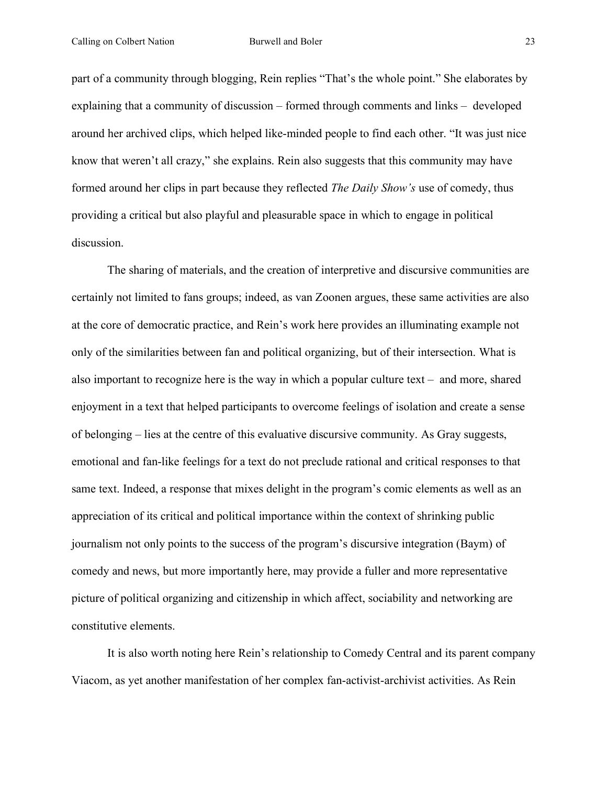part of a community through blogging, Rein replies "That's the whole point." She elaborates by explaining that a community of discussion – formed through comments and links – developed around her archived clips, which helped like-minded people to find each other. "It was just nice know that weren't all crazy," she explains. Rein also suggests that this community may have formed around her clips in part because they reflected *The Daily Show's* use of comedy, thus providing a critical but also playful and pleasurable space in which to engage in political discussion.

The sharing of materials, and the creation of interpretive and discursive communities are certainly not limited to fans groups; indeed, as van Zoonen argues, these same activities are also at the core of democratic practice, and Rein's work here provides an illuminating example not only of the similarities between fan and political organizing, but of their intersection. What is also important to recognize here is the way in which a popular culture text – and more, shared enjoyment in a text that helped participants to overcome feelings of isolation and create a sense of belonging – lies at the centre of this evaluative discursive community. As Gray suggests, emotional and fan-like feelings for a text do not preclude rational and critical responses to that same text. Indeed, a response that mixes delight in the program's comic elements as well as an appreciation of its critical and political importance within the context of shrinking public journalism not only points to the success of the program's discursive integration (Baym) of comedy and news, but more importantly here, may provide a fuller and more representative picture of political organizing and citizenship in which affect, sociability and networking are constitutive elements.

It is also worth noting here Rein's relationship to Comedy Central and its parent company Viacom, as yet another manifestation of her complex fan-activist-archivist activities. As Rein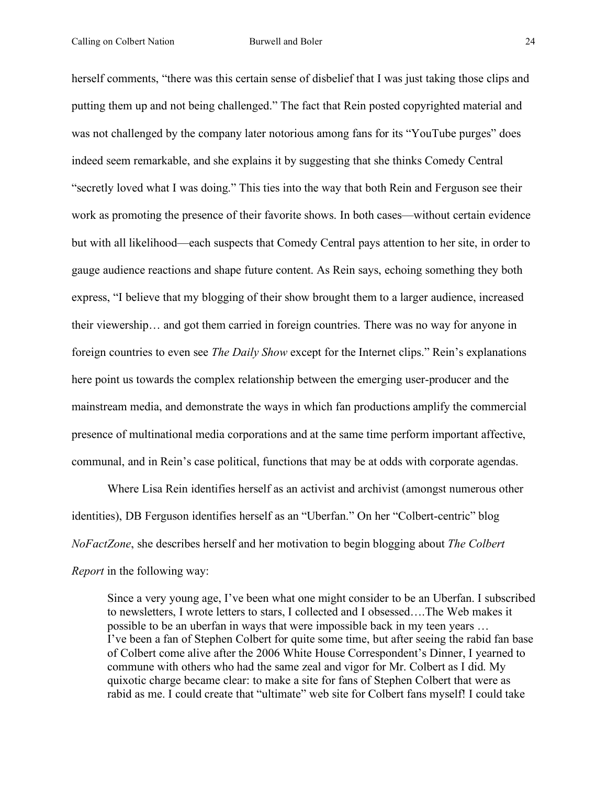Calling on Colbert Nation **Burwell** and Boler 24 **Calling on Colbert Nation** 24

herself comments, "there was this certain sense of disbelief that I was just taking those clips and putting them up and not being challenged." The fact that Rein posted copyrighted material and was not challenged by the company later notorious among fans for its "YouTube purges" does indeed seem remarkable, and she explains it by suggesting that she thinks Comedy Central "secretly loved what I was doing." This ties into the way that both Rein and Ferguson see their work as promoting the presence of their favorite shows. In both cases—without certain evidence but with all likelihood—each suspects that Comedy Central pays attention to her site, in order to gauge audience reactions and shape future content. As Rein says, echoing something they both express, "I believe that my blogging of their show brought them to a larger audience, increased their viewership… and got them carried in foreign countries. There was no way for anyone in foreign countries to even see *The Daily Show* except for the Internet clips." Rein's explanations here point us towards the complex relationship between the emerging user-producer and the mainstream media, and demonstrate the ways in which fan productions amplify the commercial presence of multinational media corporations and at the same time perform important affective, communal, and in Rein's case political, functions that may be at odds with corporate agendas.

Where Lisa Rein identifies herself as an activist and archivist (amongst numerous other identities), DB Ferguson identifies herself as an "Uberfan." On her "Colbert-centric" blog *NoFactZone*, she describes herself and her motivation to begin blogging about *The Colbert Report* in the following way:

Since a very young age, I've been what one might consider to be an Uberfan. I subscribed to newsletters, I wrote letters to stars, I collected and I obsessed….The Web makes it possible to be an uberfan in ways that were impossible back in my teen years … I've been a fan of Stephen Colbert for quite some time, but after seeing the rabid fan base of Colbert come alive after the 2006 White House Correspondent's Dinner, I yearned to commune with others who had the same zeal and vigor for Mr. Colbert as I did. My quixotic charge became clear: to make a site for fans of Stephen Colbert that were as rabid as me. I could create that "ultimate" web site for Colbert fans myself! I could take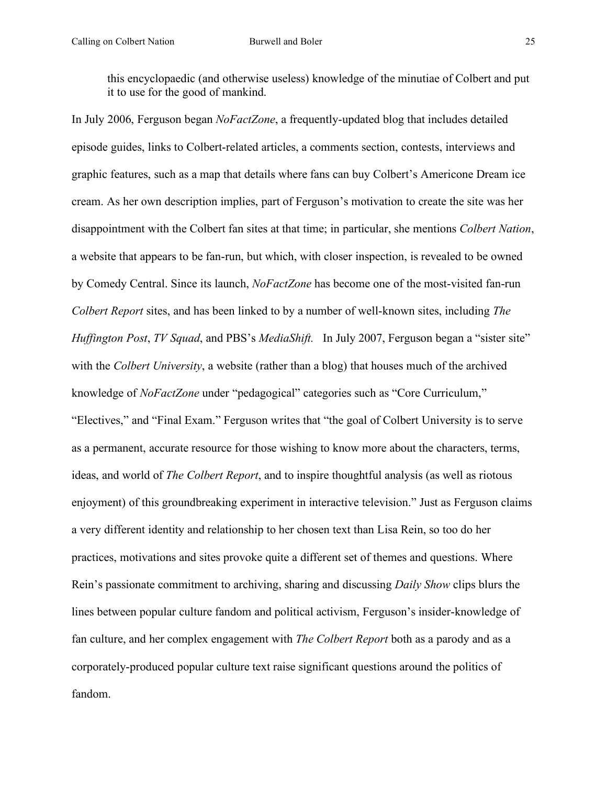this encyclopaedic (and otherwise useless) knowledge of the minutiae of Colbert and put it to use for the good of mankind.

In July 2006, Ferguson began *NoFactZone*, a frequently-updated blog that includes detailed episode guides, links to Colbert-related articles, a comments section, contests, interviews and graphic features, such as a map that details where fans can buy Colbert's Americone Dream ice cream. As her own description implies, part of Ferguson's motivation to create the site was her disappointment with the Colbert fan sites at that time; in particular, she mentions *Colbert Nation*, a website that appears to be fan-run, but which, with closer inspection, is revealed to be owned by Comedy Central. Since its launch, *NoFactZone* has become one of the most-visited fan-run *Colbert Report* sites, and has been linked to by a number of well-known sites, including *The Huffington Post*, *TV Squad*, and PBS's *MediaShift.* In July 2007, Ferguson began a "sister site" with the *Colbert University*, a website (rather than a blog) that houses much of the archived knowledge of *NoFactZone* under "pedagogical" categories such as "Core Curriculum," "Electives," and "Final Exam." Ferguson writes that "the goal of Colbert University is to serve as a permanent, accurate resource for those wishing to know more about the characters, terms, ideas, and world of *The Colbert Report*, and to inspire thoughtful analysis (as well as riotous enjoyment) of this groundbreaking experiment in interactive television." Just as Ferguson claims a very different identity and relationship to her chosen text than Lisa Rein, so too do her practices, motivations and sites provoke quite a different set of themes and questions. Where Rein's passionate commitment to archiving, sharing and discussing *Daily Show* clips blurs the lines between popular culture fandom and political activism, Ferguson's insider-knowledge of fan culture, and her complex engagement with *The Colbert Report* both as a parody and as a corporately-produced popular culture text raise significant questions around the politics of fandom.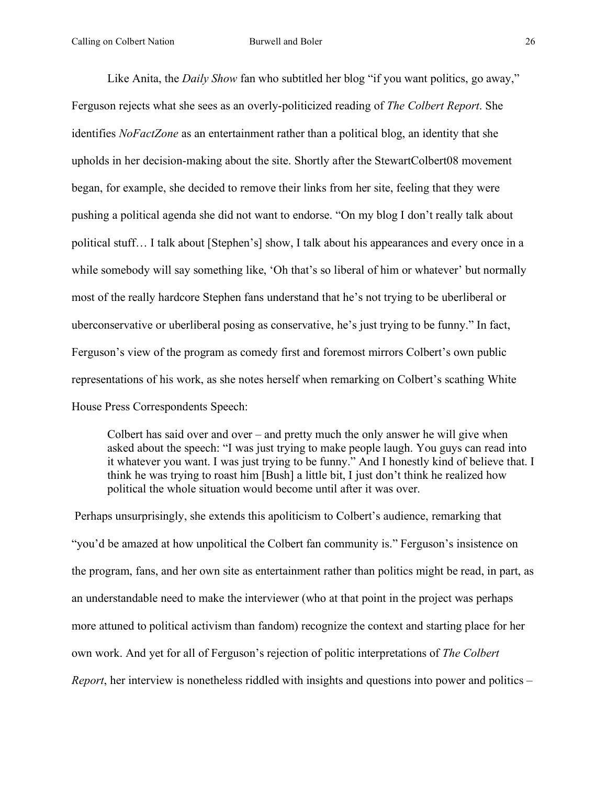Like Anita, the *Daily Show* fan who subtitled her blog "if you want politics, go away," Ferguson rejects what she sees as an overly-politicized reading of *The Colbert Report*. She identifies *NoFactZone* as an entertainment rather than a political blog, an identity that she upholds in her decision-making about the site. Shortly after the StewartColbert08 movement began, for example, she decided to remove their links from her site, feeling that they were pushing a political agenda she did not want to endorse. "On my blog I don't really talk about political stuff… I talk about [Stephen's] show, I talk about his appearances and every once in a while somebody will say something like, 'Oh that's so liberal of him or whatever' but normally most of the really hardcore Stephen fans understand that he's not trying to be uberliberal or uberconservative or uberliberal posing as conservative, he's just trying to be funny." In fact, Ferguson's view of the program as comedy first and foremost mirrors Colbert's own public representations of his work, as she notes herself when remarking on Colbert's scathing White House Press Correspondents Speech:

Colbert has said over and over – and pretty much the only answer he will give when asked about the speech: "I was just trying to make people laugh. You guys can read into it whatever you want. I was just trying to be funny." And I honestly kind of believe that. I think he was trying to roast him [Bush] a little bit, I just don't think he realized how political the whole situation would become until after it was over.

Perhaps unsurprisingly, she extends this apoliticism to Colbert's audience, remarking that "you'd be amazed at how unpolitical the Colbert fan community is." Ferguson's insistence on the program, fans, and her own site as entertainment rather than politics might be read, in part, as an understandable need to make the interviewer (who at that point in the project was perhaps more attuned to political activism than fandom) recognize the context and starting place for her own work. And yet for all of Ferguson's rejection of politic interpretations of *The Colbert Report*, her interview is nonetheless riddled with insights and questions into power and politics –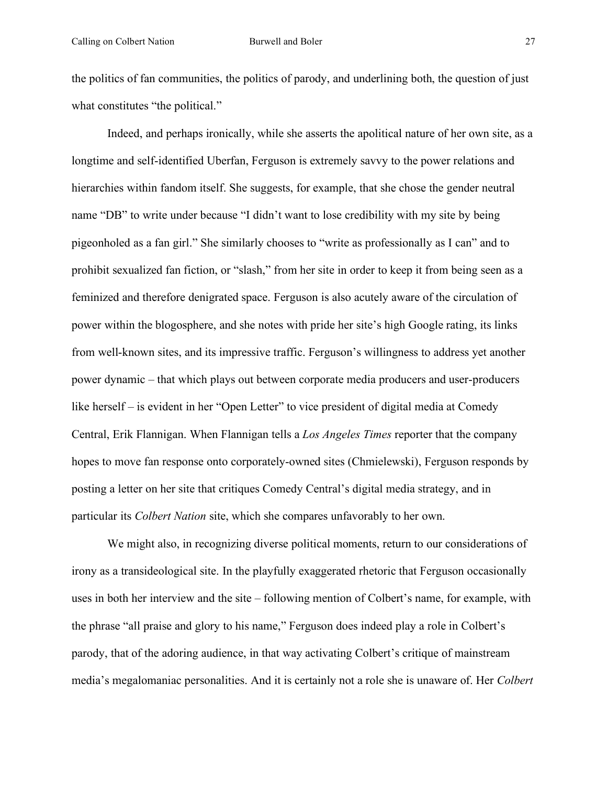Calling on Colbert Nation **Burwell** and Boler 27 and Boler 27

the politics of fan communities, the politics of parody, and underlining both, the question of just what constitutes "the political."

Indeed, and perhaps ironically, while she asserts the apolitical nature of her own site, as a longtime and self-identified Uberfan, Ferguson is extremely savvy to the power relations and hierarchies within fandom itself. She suggests, for example, that she chose the gender neutral name "DB" to write under because "I didn't want to lose credibility with my site by being pigeonholed as a fan girl." She similarly chooses to "write as professionally as I can" and to prohibit sexualized fan fiction, or "slash," from her site in order to keep it from being seen as a feminized and therefore denigrated space. Ferguson is also acutely aware of the circulation of power within the blogosphere, and she notes with pride her site's high Google rating, its links from well-known sites, and its impressive traffic. Ferguson's willingness to address yet another power dynamic – that which plays out between corporate media producers and user-producers like herself – is evident in her "Open Letter" to vice president of digital media at Comedy Central, Erik Flannigan. When Flannigan tells a *Los Angeles Times* reporter that the company hopes to move fan response onto corporately-owned sites (Chmielewski), Ferguson responds by posting a letter on her site that critiques Comedy Central's digital media strategy, and in particular its *Colbert Nation* site, which she compares unfavorably to her own.

We might also, in recognizing diverse political moments, return to our considerations of irony as a transideological site. In the playfully exaggerated rhetoric that Ferguson occasionally uses in both her interview and the site – following mention of Colbert's name, for example, with the phrase "all praise and glory to his name," Ferguson does indeed play a role in Colbert's parody, that of the adoring audience, in that way activating Colbert's critique of mainstream media's megalomaniac personalities. And it is certainly not a role she is unaware of. Her *Colbert*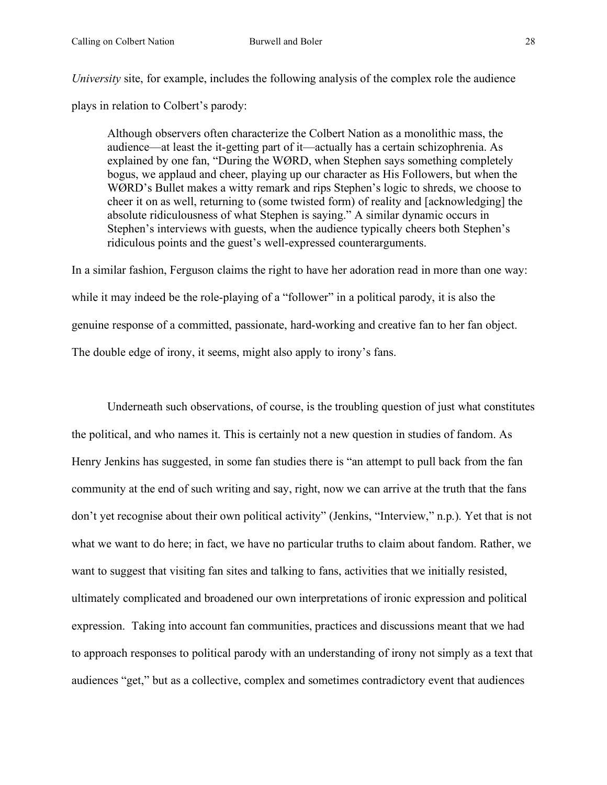plays in relation to Colbert's parody:

Although observers often characterize the Colbert Nation as a monolithic mass, the audience—at least the it-getting part of it—actually has a certain schizophrenia. As explained by one fan, "During the WØRD, when Stephen says something completely bogus, we applaud and cheer, playing up our character as His Followers, but when the WØRD's Bullet makes a witty remark and rips Stephen's logic to shreds, we choose to cheer it on as well, returning to (some twisted form) of reality and [acknowledging] the absolute ridiculousness of what Stephen is saying." A similar dynamic occurs in Stephen's interviews with guests, when the audience typically cheers both Stephen's ridiculous points and the guest's well-expressed counterarguments.

In a similar fashion, Ferguson claims the right to have her adoration read in more than one way: while it may indeed be the role-playing of a "follower" in a political parody, it is also the genuine response of a committed, passionate, hard-working and creative fan to her fan object. The double edge of irony, it seems, might also apply to irony's fans.

Underneath such observations, of course, is the troubling question of just what constitutes the political, and who names it. This is certainly not a new question in studies of fandom. As Henry Jenkins has suggested, in some fan studies there is "an attempt to pull back from the fan community at the end of such writing and say, right, now we can arrive at the truth that the fans don't yet recognise about their own political activity" (Jenkins, "Interview," n.p.). Yet that is not what we want to do here; in fact, we have no particular truths to claim about fandom. Rather, we want to suggest that visiting fan sites and talking to fans, activities that we initially resisted, ultimately complicated and broadened our own interpretations of ironic expression and political expression. Taking into account fan communities, practices and discussions meant that we had to approach responses to political parody with an understanding of irony not simply as a text that audiences "get," but as a collective, complex and sometimes contradictory event that audiences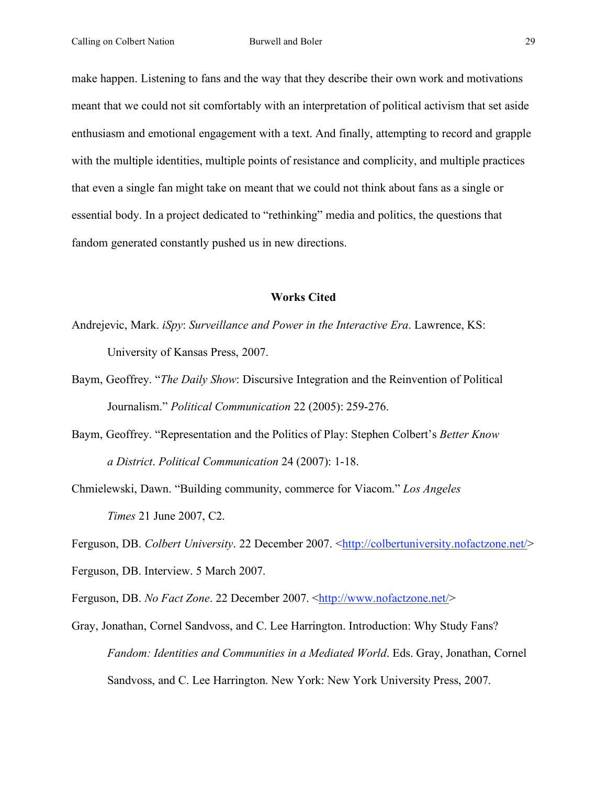make happen. Listening to fans and the way that they describe their own work and motivations meant that we could not sit comfortably with an interpretation of political activism that set aside enthusiasm and emotional engagement with a text. And finally, attempting to record and grapple with the multiple identities, multiple points of resistance and complicity, and multiple practices that even a single fan might take on meant that we could not think about fans as a single or essential body. In a project dedicated to "rethinking" media and politics, the questions that fandom generated constantly pushed us in new directions.

### **Works Cited**

- Andrejevic, Mark. *iSpy*: *Surveillance and Power in the Interactive Era*. Lawrence, KS: University of Kansas Press, 2007.
- Baym, Geoffrey. "*The Daily Show*: Discursive Integration and the Reinvention of Political Journalism." *Political Communication* 22 (2005): 259-276.
- Baym, Geoffrey. "Representation and the Politics of Play: Stephen Colbert's *Better Know a District*. *Political Communication* 24 (2007): 1-18.
- Chmielewski, Dawn. "Building community, commerce for Viacom." *Los Angeles Times* 21 June 2007, C2.
- Ferguson, DB. *Colbert University*. 22 December 2007. <http://colbertuniversity.nofactzone.net/>
- Ferguson, DB. Interview. 5 March 2007.
- Ferguson, DB. *No Fact Zone*. 22 December 2007. <http://www.nofactzone.net/>
- Gray, Jonathan, Cornel Sandvoss, and C. Lee Harrington. Introduction: Why Study Fans? *Fandom: Identities and Communities in a Mediated World*. Eds. Gray, Jonathan, Cornel Sandvoss, and C. Lee Harrington. New York: New York University Press, 2007.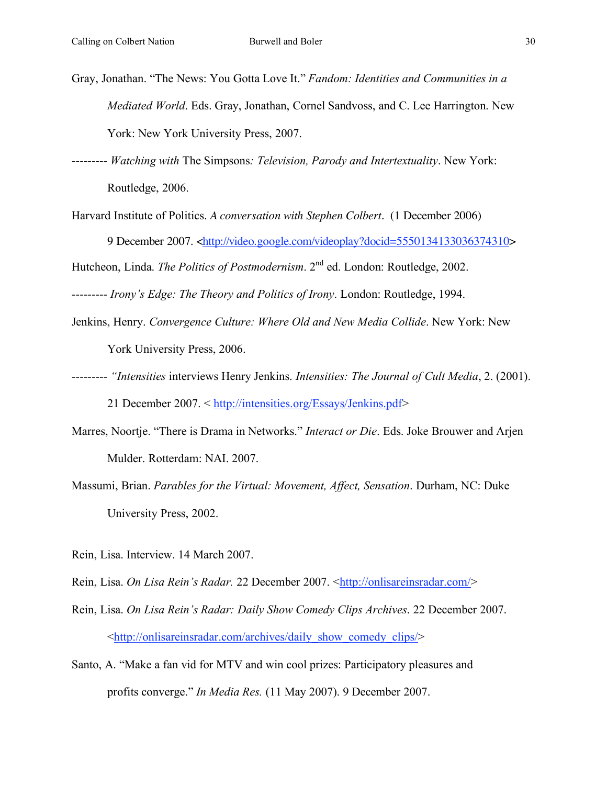- Gray, Jonathan. "The News: You Gotta Love It." *Fandom: Identities and Communities in a Mediated World*. Eds. Gray, Jonathan, Cornel Sandvoss, and C. Lee Harrington. New York: New York University Press, 2007.
- --------- *Watching with* The Simpsons*: Television, Parody and Intertextuality*. New York: Routledge, 2006.
- Harvard Institute of Politics. *A conversation with Stephen Colbert*. (1 December 2006) 9 December 2007. <http://video.google.com/videoplay?docid=5550134133036374310>

Hutcheon, Linda. *The Politics of Postmodernism*. 2nd ed. London: Routledge, 2002.

--------- *Irony's Edge: The Theory and Politics of Irony*. London: Routledge, 1994.

- Jenkins, Henry. *Convergence Culture: Where Old and New Media Collide*. New York: New York University Press, 2006.
- --------- *"Intensities* interviews Henry Jenkins. *Intensities: The Journal of Cult Media*, 2. (2001). 21 December 2007. < http://intensities.org/Essays/Jenkins.pdf>
- Marres, Noortje. "There is Drama in Networks." *Interact or Die*. Eds. Joke Brouwer and Arjen Mulder. Rotterdam: NAI. 2007.
- Massumi, Brian. *Parables for the Virtual: Movement, Affect, Sensation*. Durham, NC: Duke University Press, 2002.
- Rein, Lisa. Interview. 14 March 2007.
- Rein, Lisa. *On Lisa Rein's Radar*. 22 December 2007. <http://onlisareinsradar.com/>
- Rein, Lisa. *On Lisa Rein's Radar: Daily Show Comedy Clips Archives*. 22 December 2007. <http://onlisareinsradar.com/archives/daily\_show\_comedy\_clips/>
- Santo, A. "Make a fan vid for MTV and win cool prizes: Participatory pleasures and profits converge." *In Media Res.* (11 May 2007). 9 December 2007.